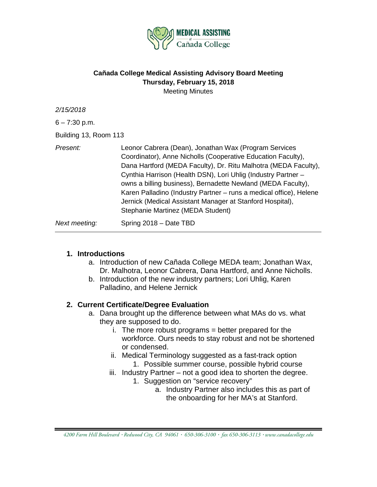

### **Cañada College Medical Assisting Advisory Board Meeting Thursday, February 15, 2018** Meeting Minutes

| 2/15/2018<br>$6 - 7:30$ p.m.<br>Building 13, Room 113 |                                                                                                                                                                                                                                                                                                                                                                                                                                                                                                   |
|-------------------------------------------------------|---------------------------------------------------------------------------------------------------------------------------------------------------------------------------------------------------------------------------------------------------------------------------------------------------------------------------------------------------------------------------------------------------------------------------------------------------------------------------------------------------|
| Present:                                              | Leonor Cabrera (Dean), Jonathan Wax (Program Services<br>Coordinator), Anne Nicholls (Cooperative Education Faculty),<br>Dana Hartford (MEDA Faculty), Dr. Ritu Malhotra (MEDA Faculty),<br>Cynthia Harrison (Health DSN), Lori Uhlig (Industry Partner -<br>owns a billing business), Bernadette Newland (MEDA Faculty),<br>Karen Palladino (Industry Partner – runs a medical office), Helene<br>Jernick (Medical Assistant Manager at Stanford Hospital),<br>Stephanie Martinez (MEDA Student) |
| Next meeting:                                         | Spring 2018 - Date TBD                                                                                                                                                                                                                                                                                                                                                                                                                                                                            |

### **1. Introductions**

- a. Introduction of new Cañada College MEDA team; Jonathan Wax, Dr. Malhotra, Leonor Cabrera, Dana Hartford, and Anne Nicholls.
- b. Introduction of the new industry partners; Lori Uhlig, Karen Palladino, and Helene Jernick

### **2. Current Certificate/Degree Evaluation**

- a. Dana brought up the difference between what MAs do vs. what they are supposed to do.
	- $i.$  The more robust programs  $=$  better prepared for the workforce. Ours needs to stay robust and not be shortened or condensed.
	- ii. Medical Terminology suggested as a fast-track option 1. Possible summer course, possible hybrid course
	- iii. Industry Partner not a good idea to shorten the degree.
		- 1. Suggestion on "service recovery"
			- a. Industry Partner also includes this as part of the onboarding for her MA's at Stanford.

*<sup>4200</sup> Farm Hill Boulevard Redwood City, CA 94061 650-306-3100 fax 650-306-3113 www.canadacollege.edu*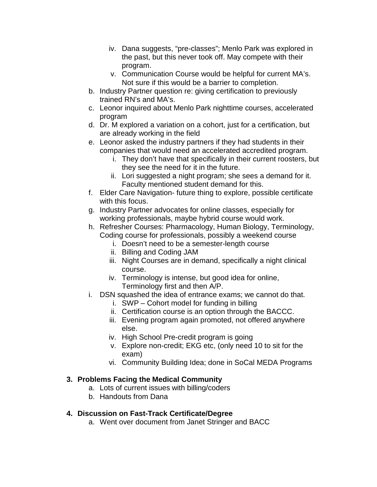- iv. Dana suggests, "pre-classes"; Menlo Park was explored in the past, but this never took off. May compete with their program.
- v. Communication Course would be helpful for current MA's. Not sure if this would be a barrier to completion.
- b. Industry Partner question re: giving certification to previously trained RN's and MA's.
- c. Leonor inquired about Menlo Park nighttime courses, accelerated program
- d. Dr. M explored a variation on a cohort, just for a certification, but are already working in the field
- e. Leonor asked the industry partners if they had students in their companies that would need an accelerated accredited program.
	- i. They don't have that specifically in their current roosters, but they see the need for it in the future.
	- ii. Lori suggested a night program; she sees a demand for it. Faculty mentioned student demand for this.
- f. Elder Care Navigation- future thing to explore, possible certificate with this focus.
- g. Industry Partner advocates for online classes, especially for working professionals, maybe hybrid course would work.
- h. Refresher Courses: Pharmacology, Human Biology, Terminology, Coding course for professionals, possibly a weekend course
	- i. Doesn't need to be a semester-length course
	- ii. Billing and Coding JAM
	- iii. Night Courses are in demand, specifically a night clinical course.
	- iv. Terminology is intense, but good idea for online, Terminology first and then A/P.
- i. DSN squashed the idea of entrance exams; we cannot do that.
	- i. SWP Cohort model for funding in billing
	- ii. Certification course is an option through the BACCC.
	- iii. Evening program again promoted, not offered anywhere else.
	- iv. High School Pre-credit program is going
	- v. Explore non-credit; EKG etc, (only need 10 to sit for the exam)
	- vi. Community Building Idea; done in SoCal MEDA Programs

# **3. Problems Facing the Medical Community**

- a. Lots of current issues with billing/coders
- b. Handouts from Dana

# **4. Discussion on Fast-Track Certificate/Degree**

a. Went over document from Janet Stringer and BACC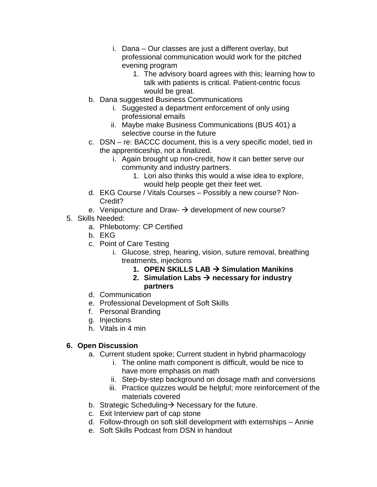- i. Dana Our classes are just a different overlay, but professional communication would work for the pitched evening program
	- 1. The advisory board agrees with this; learning how to talk with patients is critical. Patient-centric focus would be great.
- b. Dana suggested Business Communications
	- i. Suggested a department enforcement of only using professional emails
	- ii. Maybe make Business Communications (BUS 401) a selective course in the future
- c. DSN re: BACCC document, this is a very specific model, tied in the apprenticeship, not a finalized.
	- i. Again brought up non-credit, how it can better serve our community and industry partners.
		- 1. Lori also thinks this would a wise idea to explore, would help people get their feet wet.
- d. EKG Course / Vitals Courses Possibly a new course? Non-Credit?
- e. Venipuncture and Draw- $\rightarrow$  development of new course?
- 5. Skills Needed:
	- a. Phlebotomy: CP Certified
	- b. EKG
	- c. Point of Care Testing
		- i. Glucose, strep, hearing, vision, suture removal, breathing treatments, injections
			- **1. OPEN SKILLS LAB Simulation Manikins**
			- 2. Simulation Labs  $\rightarrow$  necessary for industry **partners**
	- d. Communication
	- e. Professional Development of Soft Skills
	- f. Personal Branding
	- g. Injections
	- h. Vitals in 4 min

# **6. Open Discussion**

- a. Current student spoke; Current student in hybrid pharmacology
	- i. The online math component is difficult, would be nice to have more emphasis on math
	- ii. Step-by-step background on dosage math and conversions
	- iii. Practice quizzes would be helpful; more reinforcement of the materials covered
- b. Strategic Scheduling  $\rightarrow$  Necessary for the future.
- c. Exit Interview part of cap stone
- d. Follow-through on soft skill development with externships Annie
- e. Soft Skills Podcast from DSN in handout